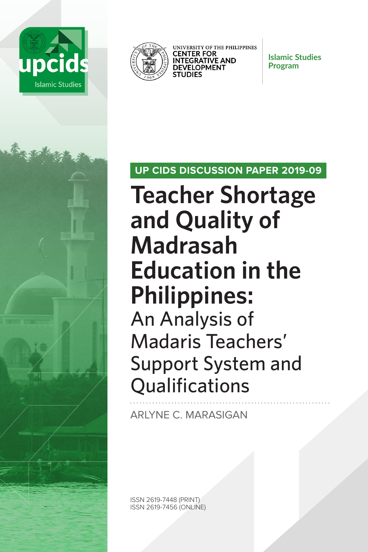



UNIVERSITY OF THE PHILIPPINES **CENTER FOR INTEGRATIVE AND DEVELOPMENT STUDIES** 

**Islamic Studies Program**

## **UP CIDS DISCUSSION PAPER 2019-09**

**Teacher Shortage and Quality of Madrasah Education in the Philippines:**  An Analysis of Madaris Teachers' Support System and **Qualifications** 

ARLYNE C. MARASIGAN

ISSN 2619-7448 (PRINT) ISSN 2619-7456 (ONLINE)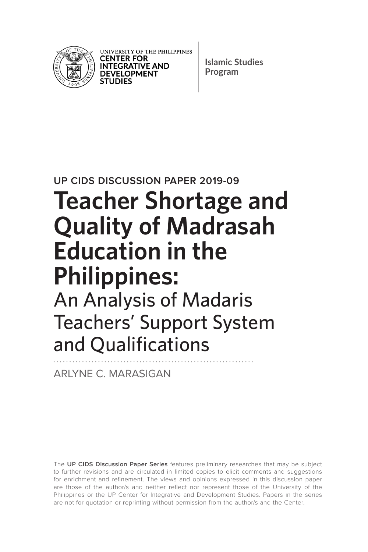

UNIVERSITY OF THE PHILIPPINES **CENTER FOR INTEGRATIVE AND DEVELOPMENT STUDIES** 

**Islamic Studies Program**

**UP CIDS DISCUSSION PAPER 2019-09**

# **Teacher Shortage and Quality of Madrasah Education in the Philippines:**  An Analysis of Madaris Teachers' Support System and Qualifications

ARLYNE C. MARASIGAN

The **UP CIDS Discussion Paper Series** features preliminary researches that may be subject to further revisions and are circulated in limited copies to elicit comments and suggestions for enrichment and refinement. The views and opinions expressed in this discussion paper are those of the author/s and neither reflect nor represent those of the University of the Philippines or the UP Center for Integrative and Development Studies. Papers in the series are not for quotation or reprinting without permission from the author/s and the Center.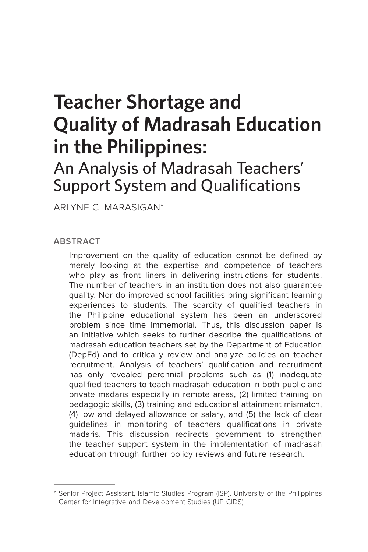## **Teacher Shortage and Quality of Madrasah Education in the Philippines:**

## An Analysis of Madrasah Teachers' Support System and Qualifications

ARLYNE C. MARASIGAN\*

**ABSTRACT**

Improvement on the quality of education cannot be defined by merely looking at the expertise and competence of teachers who play as front liners in delivering instructions for students. The number of teachers in an institution does not also guarantee quality. Nor do improved school facilities bring significant learning experiences to students. The scarcity of qualified teachers in the Philippine educational system has been an underscored problem since time immemorial. Thus, this discussion paper is an initiative which seeks to further describe the qualifications of madrasah education teachers set by the Department of Education (DepEd) and to critically review and analyze policies on teacher recruitment. Analysis of teachers' qualification and recruitment has only revealed perennial problems such as (1) inadequate qualified teachers to teach madrasah education in both public and private madaris especially in remote areas, (2) limited training on pedagogic skills, (3) training and educational attainment mismatch, (4) low and delayed allowance or salary, and (5) the lack of clear guidelines in monitoring of teachers qualifications in private madaris. This discussion redirects government to strengthen the teacher support system in the implementation of madrasah education through further policy reviews and future research.

<sup>\*</sup> Senior Project Assistant, Islamic Studies Program (ISP), University of the Philippines Center for Integrative and Development Studies (UP CIDS)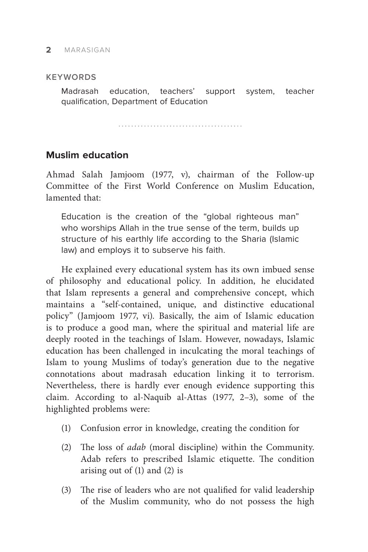#### **KEYWORDS**

Madrasah education, teachers' support system, teacher qualification, Department of Education

## **Muslim education**

Ahmad Salah Jamjoom (1977, v), chairman of the Follow-up Committee of the First World Conference on Muslim Education, lamented that:

Education is the creation of the "global righteous man" who worships Allah in the true sense of the term, builds up structure of his earthly life according to the Sharia (Islamic law) and employs it to subserve his faith.

He explained every educational system has its own imbued sense of philosophy and educational policy. In addition, he elucidated that Islam represents a general and comprehensive concept, which maintains a "self-contained, unique, and distinctive educational policy" (Jamjoom 1977, vi). Basically, the aim of Islamic education is to produce a good man, where the spiritual and material life are deeply rooted in the teachings of Islam. However, nowadays, Islamic education has been challenged in inculcating the moral teachings of Islam to young Muslims of today's generation due to the negative connotations about madrasah education linking it to terrorism. Nevertheless, there is hardly ever enough evidence supporting this claim. According to al-Naquib al-Attas (1977, 2–3), some of the highlighted problems were:

- (1) Confusion error in knowledge, creating the condition for
- (2) The loss of *adab* (moral discipline) within the Community. Adab refers to prescribed Islamic etiquette. The condition arising out of (1) and (2) is
- (3) The rise of leaders who are not qualified for valid leadership of the Muslim community, who do not possess the high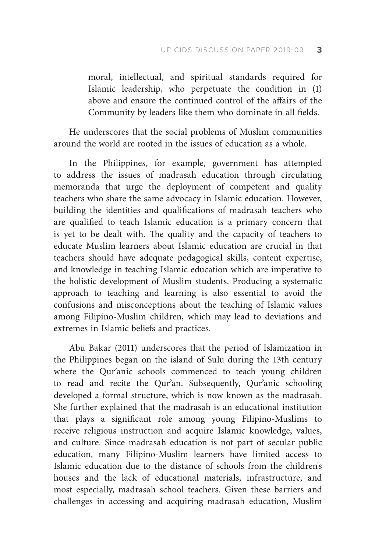moral, intellectual, and spiritual standards required for Islamic leadership, who perpetuate the condition in (1) above and ensure the continued control of the affairs of the Community by leaders like them who dominate in all fields.

He underscores that the social problems of Muslim communities around the world are rooted in the issues of education as a whole.

In the Philippines, for example, government has attempted to address the issues of madrasah education through circulating memoranda that urge the deployment of competent and quality teachers who share the same advocacy in Islamic education. However, building the identities and qualifications of madrasah teachers who are qualified to teach Islamic education is a primary concern that is yet to be dealt with. The quality and the capacity of teachers to educate Muslim learners about Islamic education are crucial in that teachers should have adequate pedagogical skills, content expertise, and knowledge in teaching Islamic education which are imperative to the holistic development of Muslim students. Producing a systematic approach to teaching and learning is also essential to avoid the confusions and misconceptions about the teaching of Islamic values among Filipino-Muslim children, which may lead to deviations and extremes in Islamic beliefs and practices.

Abu Bakar (2011) underscores that the period of Islamization in the Philippines began on the island of Sulu during the 13th century where the Qur'anic schools commenced to teach young children to read and recite the Qur'an. Subsequently, Qur'anic schooling developed a formal structure, which is now known as the madrasah. She further explained that the madrasah is an educational institution that plays a significant role among young Filipino-Muslims to receive religious instruction and acquire Islamic knowledge, values, and culture. Since madrasah education is not part of secular public education, many Filipino-Muslim learners have limited access to Islamic education due to the distance of schools from the children's houses and the lack of educational materials, infrastructure, and most especially, madrasah school teachers. Given these barriers and challenges in accessing and acquiring madrasah education, Muslim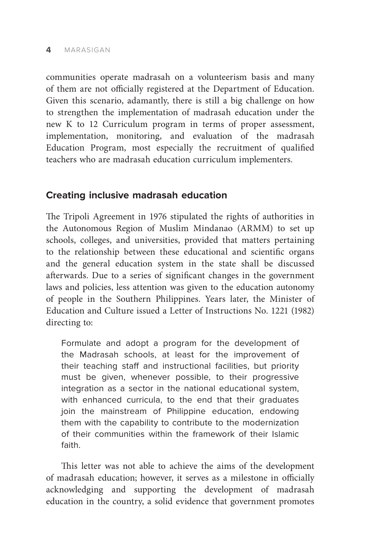#### **4** MARASIGAN

communities operate madrasah on a volunteerism basis and many of them are not officially registered at the Department of Education. Given this scenario, adamantly, there is still a big challenge on how to strengthen the implementation of madrasah education under the new K to 12 Curriculum program in terms of proper assessment, implementation, monitoring, and evaluation of the madrasah Education Program, most especially the recruitment of qualified teachers who are madrasah education curriculum implementers.

#### **Creating inclusive madrasah education**

The Tripoli Agreement in 1976 stipulated the rights of authorities in the Autonomous Region of Muslim Mindanao (ARMM) to set up schools, colleges, and universities, provided that matters pertaining to the relationship between these educational and scientific organs and the general education system in the state shall be discussed afterwards. Due to a series of significant changes in the government laws and policies, less attention was given to the education autonomy of people in the Southern Philippines. Years later, the Minister of Education and Culture issued a Letter of Instructions No. 1221 (1982) directing to:

Formulate and adopt a program for the development of the Madrasah schools, at least for the improvement of their teaching staff and instructional facilities, but priority must be given, whenever possible, to their progressive integration as a sector in the national educational system, with enhanced curricula, to the end that their graduates join the mainstream of Philippine education, endowing them with the capability to contribute to the modernization of their communities within the framework of their Islamic faith.

This letter was not able to achieve the aims of the development of madrasah education; however, it serves as a milestone in officially acknowledging and supporting the development of madrasah education in the country, a solid evidence that government promotes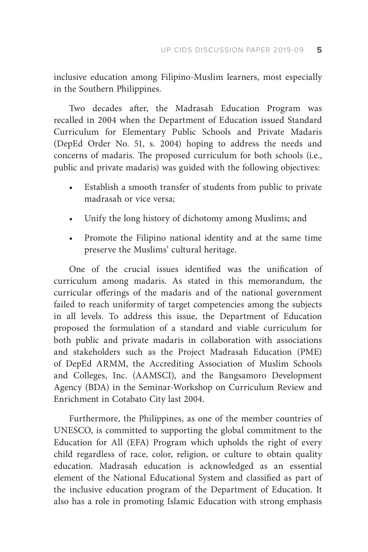inclusive education among Filipino-Muslim learners, most especially in the Southern Philippines.

Two decades after, the Madrasah Education Program was recalled in 2004 when the Department of Education issued Standard Curriculum for Elementary Public Schools and Private Madaris (DepEd Order No. 51, s. 2004) hoping to address the needs and concerns of madaris. The proposed curriculum for both schools (i.e., public and private madaris) was guided with the following objectives:

- Establish a smooth transfer of students from public to private madrasah or vice versa;
- Unify the long history of dichotomy among Muslims; and
- Promote the Filipino national identity and at the same time preserve the Muslims' cultural heritage.

One of the crucial issues identified was the unification of curriculum among madaris. As stated in this memorandum, the curricular offerings of the madaris and of the national government failed to reach uniformity of target competencies among the subjects in all levels. To address this issue, the Department of Education proposed the formulation of a standard and viable curriculum for both public and private madaris in collaboration with associations and stakeholders such as the Project Madrasah Education (PME) of DepEd ARMM, the Accrediting Association of Muslim Schools and Colleges, Inc. (AAMSCI), and the Bangsamoro Development Agency (BDA) in the Seminar-Workshop on Curriculum Review and Enrichment in Cotabato City last 2004.

Furthermore, the Philippines, as one of the member countries of UNESCO, is committed to supporting the global commitment to the Education for All (EFA) Program which upholds the right of every child regardless of race, color, religion, or culture to obtain quality education. Madrasah education is acknowledged as an essential element of the National Educational System and classified as part of the inclusive education program of the Department of Education. It also has a role in promoting Islamic Education with strong emphasis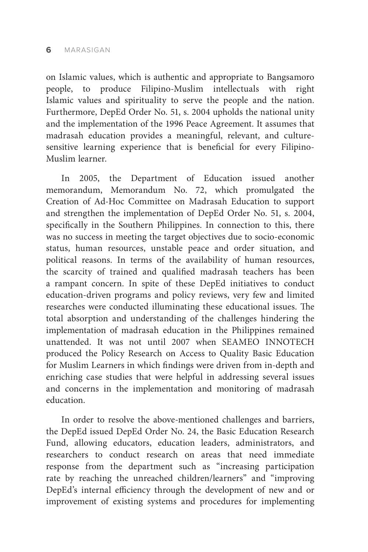on Islamic values, which is authentic and appropriate to Bangsamoro people, to produce Filipino-Muslim intellectuals with right Islamic values and spirituality to serve the people and the nation. Furthermore, DepEd Order No. 51, s. 2004 upholds the national unity and the implementation of the 1996 Peace Agreement. It assumes that madrasah education provides a meaningful, relevant, and culturesensitive learning experience that is beneficial for every Filipino-Muslim learner.

In 2005, the Department of Education issued another memorandum, Memorandum No. 72, which promulgated the Creation of Ad-Hoc Committee on Madrasah Education to support and strengthen the implementation of DepEd Order No. 51, s. 2004, specifically in the Southern Philippines. In connection to this, there was no success in meeting the target objectives due to socio-economic status, human resources, unstable peace and order situation, and political reasons. In terms of the availability of human resources, the scarcity of trained and qualified madrasah teachers has been a rampant concern. In spite of these DepEd initiatives to conduct education-driven programs and policy reviews, very few and limited researches were conducted illuminating these educational issues. The total absorption and understanding of the challenges hindering the implementation of madrasah education in the Philippines remained unattended. It was not until 2007 when SEAMEO INNOTECH produced the Policy Research on Access to Quality Basic Education for Muslim Learners in which findings were driven from in-depth and enriching case studies that were helpful in addressing several issues and concerns in the implementation and monitoring of madrasah education.

In order to resolve the above-mentioned challenges and barriers, the DepEd issued DepEd Order No. 24, the Basic Education Research Fund, allowing educators, education leaders, administrators, and researchers to conduct research on areas that need immediate response from the department such as "increasing participation rate by reaching the unreached children/learners" and "improving DepEd's internal efficiency through the development of new and or improvement of existing systems and procedures for implementing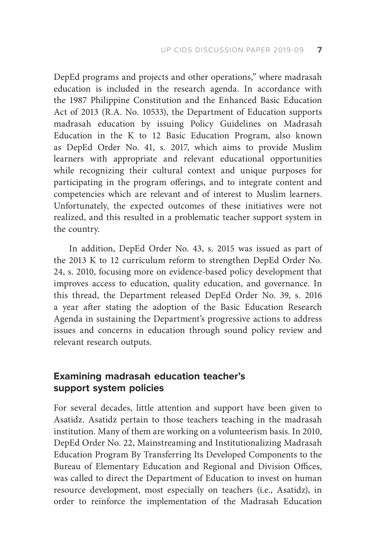DepEd programs and projects and other operations," where madrasah education is included in the research agenda. In accordance with the 1987 Philippine Constitution and the Enhanced Basic Education Act of 2013 (R.A. No. 10533), the Department of Education supports madrasah education by issuing Policy Guidelines on Madrasah Education in the K to 12 Basic Education Program, also known as DepEd Order No. 41, s. 2017, which aims to provide Muslim learners with appropriate and relevant educational opportunities while recognizing their cultural context and unique purposes for participating in the program offerings, and to integrate content and competencies which are relevant and of interest to Muslim learners. Unfortunately, the expected outcomes of these initiatives were not realized, and this resulted in a problematic teacher support system in the country.

In addition, DepEd Order No. 43, s. 2015 was issued as part of the 2013 K to 12 curriculum reform to strengthen DepEd Order No. 24, s. 2010, focusing more on evidence-based policy development that improves access to education, quality education, and governance. In this thread, the Department released DepEd Order No. 39, s. 2016 a year after stating the adoption of the Basic Education Research Agenda in sustaining the Department's progressive actions to address issues and concerns in education through sound policy review and relevant research outputs.

## **Examining madrasah education teacher's support system policies**

For several decades, little attention and support have been given to Asatidz. Asatidz pertain to those teachers teaching in the madrasah institution. Many of them are working on a volunteerism basis. In 2010, DepEd Order No. 22, Mainstreaming and Institutionalizing Madrasah Education Program By Transferring Its Developed Components to the Bureau of Elementary Education and Regional and Division Offices, was called to direct the Department of Education to invest on human resource development, most especially on teachers (i.e., Asatidz), in order to reinforce the implementation of the Madrasah Education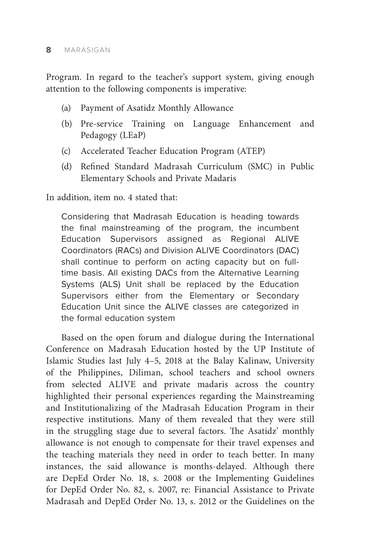Program. In regard to the teacher's support system, giving enough attention to the following components is imperative:

- (a) Payment of Asatidz Monthly Allowance
- (b) Pre-service Training on Language Enhancement and Pedagogy (LEaP)
- (c) Accelerated Teacher Education Program (ATEP)
- (d) Refined Standard Madrasah Curriculum (SMC) in Public Elementary Schools and Private Madaris

In addition, item no. 4 stated that:

Considering that Madrasah Education is heading towards the final mainstreaming of the program, the incumbent Education Supervisors assigned as Regional ALIVE Coordinators (RACs) and Division ALIVE Coordinators (DAC) shall continue to perform on acting capacity but on fulltime basis. All existing DACs from the Alternative Learning Systems (ALS) Unit shall be replaced by the Education Supervisors either from the Elementary or Secondary Education Unit since the ALIVE classes are categorized in the formal education system

Based on the open forum and dialogue during the International Conference on Madrasah Education hosted by the UP Institute of Islamic Studies last July 4–5, 2018 at the Balay Kalinaw, University of the Philippines, Diliman, school teachers and school owners from selected ALIVE and private madaris across the country highlighted their personal experiences regarding the Mainstreaming and Institutionalizing of the Madrasah Education Program in their respective institutions. Many of them revealed that they were still in the struggling stage due to several factors. The Asatidz' monthly allowance is not enough to compensate for their travel expenses and the teaching materials they need in order to teach better. In many instances, the said allowance is months-delayed. Although there are DepEd Order No. 18, s. 2008 or the Implementing Guidelines for DepEd Order No. 82, s. 2007, re: Financial Assistance to Private Madrasah and DepEd Order No. 13, s. 2012 or the Guidelines on the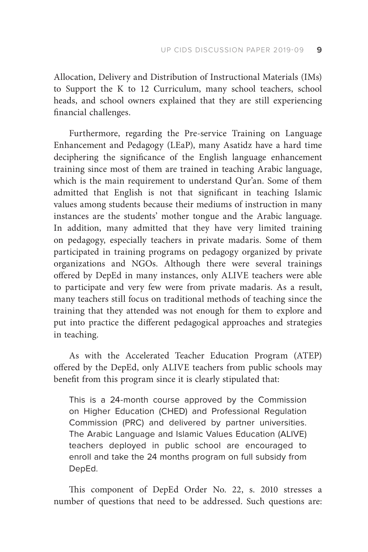Allocation, Delivery and Distribution of Instructional Materials (IMs) to Support the K to 12 Curriculum, many school teachers, school heads, and school owners explained that they are still experiencing financial challenges.

Furthermore, regarding the Pre-service Training on Language Enhancement and Pedagogy (LEaP), many Asatidz have a hard time deciphering the significance of the English language enhancement training since most of them are trained in teaching Arabic language, which is the main requirement to understand Qur'an. Some of them admitted that English is not that significant in teaching Islamic values among students because their mediums of instruction in many instances are the students' mother tongue and the Arabic language. In addition, many admitted that they have very limited training on pedagogy, especially teachers in private madaris. Some of them participated in training programs on pedagogy organized by private organizations and NGOs. Although there were several trainings offered by DepEd in many instances, only ALIVE teachers were able to participate and very few were from private madaris. As a result, many teachers still focus on traditional methods of teaching since the training that they attended was not enough for them to explore and put into practice the different pedagogical approaches and strategies in teaching.

As with the Accelerated Teacher Education Program (ATEP) offered by the DepEd, only ALIVE teachers from public schools may benefit from this program since it is clearly stipulated that:

This is a 24-month course approved by the Commission on Higher Education (CHED) and Professional Regulation Commission (PRC) and delivered by partner universities. The Arabic Language and Islamic Values Education (ALIVE) teachers deployed in public school are encouraged to enroll and take the 24 months program on full subsidy from DepEd.

This component of DepEd Order No. 22, s. 2010 stresses a number of questions that need to be addressed. Such questions are: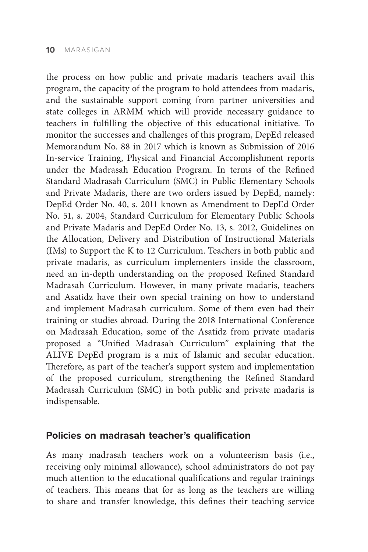the process on how public and private madaris teachers avail this program, the capacity of the program to hold attendees from madaris, and the sustainable support coming from partner universities and state colleges in ARMM which will provide necessary guidance to teachers in fulfilling the objective of this educational initiative. To monitor the successes and challenges of this program, DepEd released Memorandum No. 88 in 2017 which is known as Submission of 2016 In-service Training, Physical and Financial Accomplishment reports under the Madrasah Education Program. In terms of the Refined Standard Madrasah Curriculum (SMC) in Public Elementary Schools and Private Madaris, there are two orders issued by DepEd, namely: DepEd Order No. 40, s. 2011 known as Amendment to DepEd Order No. 51, s. 2004, Standard Curriculum for Elementary Public Schools and Private Madaris and DepEd Order No. 13, s. 2012, Guidelines on the Allocation, Delivery and Distribution of Instructional Materials (IMs) to Support the K to 12 Curriculum. Teachers in both public and private madaris, as curriculum implementers inside the classroom, need an in-depth understanding on the proposed Refined Standard Madrasah Curriculum. However, in many private madaris, teachers and Asatidz have their own special training on how to understand and implement Madrasah curriculum. Some of them even had their training or studies abroad. During the 2018 International Conference on Madrasah Education, some of the Asatidz from private madaris proposed a "Unified Madrasah Curriculum" explaining that the ALIVE DepEd program is a mix of Islamic and secular education. Therefore, as part of the teacher's support system and implementation of the proposed curriculum, strengthening the Refined Standard Madrasah Curriculum (SMC) in both public and private madaris is indispensable.

#### **Policies on madrasah teacher's qualification**

As many madrasah teachers work on a volunteerism basis (i.e., receiving only minimal allowance), school administrators do not pay much attention to the educational qualifications and regular trainings of teachers. This means that for as long as the teachers are willing to share and transfer knowledge, this defines their teaching service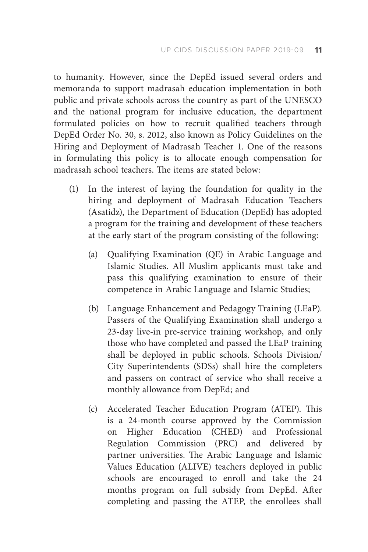to humanity. However, since the DepEd issued several orders and memoranda to support madrasah education implementation in both public and private schools across the country as part of the UNESCO and the national program for inclusive education, the department formulated policies on how to recruit qualified teachers through DepEd Order No. 30, s. 2012, also known as Policy Guidelines on the Hiring and Deployment of Madrasah Teacher 1. One of the reasons in formulating this policy is to allocate enough compensation for madrasah school teachers. The items are stated below:

- (1) In the interest of laying the foundation for quality in the hiring and deployment of Madrasah Education Teachers (Asatidz), the Department of Education (DepEd) has adopted a program for the training and development of these teachers at the early start of the program consisting of the following:
	- (a) Qualifying Examination (QE) in Arabic Language and Islamic Studies. All Muslim applicants must take and pass this qualifying examination to ensure of their competence in Arabic Language and Islamic Studies;
	- (b) Language Enhancement and Pedagogy Training (LEaP). Passers of the Qualifying Examination shall undergo a 23-day live-in pre-service training workshop, and only those who have completed and passed the LEaP training shall be deployed in public schools. Schools Division/ City Superintendents (SDSs) shall hire the completers and passers on contract of service who shall receive a monthly allowance from DepEd; and
	- (c) Accelerated Teacher Education Program (ATEP). This is a 24-month course approved by the Commission on Higher Education (CHED) and Professional Regulation Commission (PRC) and delivered by partner universities. The Arabic Language and Islamic Values Education (ALIVE) teachers deployed in public schools are encouraged to enroll and take the 24 months program on full subsidy from DepEd. After completing and passing the ATEP, the enrollees shall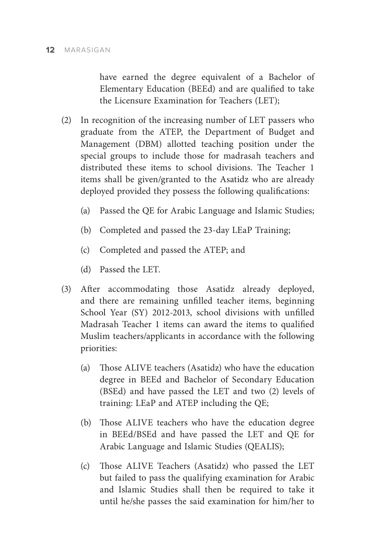have earned the degree equivalent of a Bachelor of Elementary Education (BEEd) and are qualified to take the Licensure Examination for Teachers (LET);

- (2) In recognition of the increasing number of LET passers who graduate from the ATEP, the Department of Budget and Management (DBM) allotted teaching position under the special groups to include those for madrasah teachers and distributed these items to school divisions. The Teacher 1 items shall be given/granted to the Asatidz who are already deployed provided they possess the following qualifications:
	- (a) Passed the QE for Arabic Language and Islamic Studies;
	- (b) Completed and passed the 23-day LEaP Training;
	- (c) Completed and passed the ATEP; and
	- (d) Passed the LET.
- (3) After accommodating those Asatidz already deployed, and there are remaining unfilled teacher items, beginning School Year (SY) 2012-2013, school divisions with unfilled Madrasah Teacher 1 items can award the items to qualified Muslim teachers/applicants in accordance with the following priorities:
	- (a) Those ALIVE teachers (Asatidz) who have the education degree in BEEd and Bachelor of Secondary Education (BSEd) and have passed the LET and two (2) levels of training: LEaP and ATEP including the QE;
	- (b) Those ALIVE teachers who have the education degree in BEEd/BSEd and have passed the LET and QE for Arabic Language and Islamic Studies (QEALIS);
	- (c) Those ALIVE Teachers (Asatidz) who passed the LET but failed to pass the qualifying examination for Arabic and Islamic Studies shall then be required to take it until he/she passes the said examination for him/her to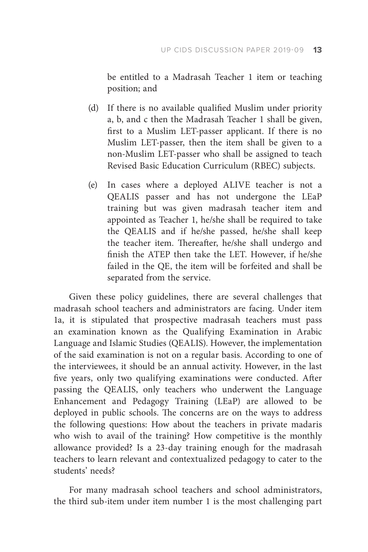be entitled to a Madrasah Teacher 1 item or teaching position; and

- (d) If there is no available qualified Muslim under priority a, b, and c then the Madrasah Teacher 1 shall be given, first to a Muslim LET-passer applicant. If there is no Muslim LET-passer, then the item shall be given to a non-Muslim LET-passer who shall be assigned to teach Revised Basic Education Curriculum (RBEC) subjects.
- (e) In cases where a deployed ALIVE teacher is not a QEALIS passer and has not undergone the LEaP training but was given madrasah teacher item and appointed as Teacher 1, he/she shall be required to take the QEALIS and if he/she passed, he/she shall keep the teacher item. Thereafter, he/she shall undergo and finish the ATEP then take the LET. However, if he/she failed in the QE, the item will be forfeited and shall be separated from the service.

Given these policy guidelines, there are several challenges that madrasah school teachers and administrators are facing. Under item 1a, it is stipulated that prospective madrasah teachers must pass an examination known as the Qualifying Examination in Arabic Language and Islamic Studies (QEALIS). However, the implementation of the said examination is not on a regular basis. According to one of the interviewees, it should be an annual activity. However, in the last five years, only two qualifying examinations were conducted. After passing the QEALIS, only teachers who underwent the Language Enhancement and Pedagogy Training (LEaP) are allowed to be deployed in public schools. The concerns are on the ways to address the following questions: How about the teachers in private madaris who wish to avail of the training? How competitive is the monthly allowance provided? Is a 23-day training enough for the madrasah teachers to learn relevant and contextualized pedagogy to cater to the students' needs?

For many madrasah school teachers and school administrators, the third sub-item under item number 1 is the most challenging part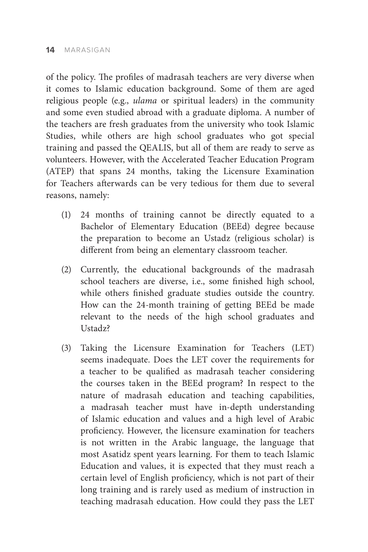of the policy. The profiles of madrasah teachers are very diverse when it comes to Islamic education background. Some of them are aged religious people (e.g., *ulama* or spiritual leaders) in the community and some even studied abroad with a graduate diploma. A number of the teachers are fresh graduates from the university who took Islamic Studies, while others are high school graduates who got special training and passed the QEALIS, but all of them are ready to serve as volunteers. However, with the Accelerated Teacher Education Program (ATEP) that spans 24 months, taking the Licensure Examination for Teachers afterwards can be very tedious for them due to several reasons, namely:

- (1) 24 months of training cannot be directly equated to a Bachelor of Elementary Education (BEEd) degree because the preparation to become an Ustadz (religious scholar) is different from being an elementary classroom teacher.
- (2) Currently, the educational backgrounds of the madrasah school teachers are diverse, i.e., some finished high school, while others finished graduate studies outside the country. How can the 24-month training of getting BEEd be made relevant to the needs of the high school graduates and Ustadz?
- (3) Taking the Licensure Examination for Teachers (LET) seems inadequate. Does the LET cover the requirements for a teacher to be qualified as madrasah teacher considering the courses taken in the BEEd program? In respect to the nature of madrasah education and teaching capabilities, a madrasah teacher must have in-depth understanding of Islamic education and values and a high level of Arabic proficiency. However, the licensure examination for teachers is not written in the Arabic language, the language that most Asatidz spent years learning. For them to teach Islamic Education and values, it is expected that they must reach a certain level of English proficiency, which is not part of their long training and is rarely used as medium of instruction in teaching madrasah education. How could they pass the LET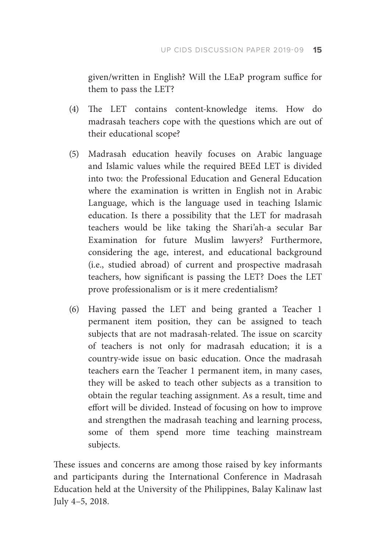given/written in English? Will the LEaP program suffice for them to pass the LET?

- (4) The LET contains content-knowledge items. How do madrasah teachers cope with the questions which are out of their educational scope?
- (5) Madrasah education heavily focuses on Arabic language and Islamic values while the required BEEd LET is divided into two: the Professional Education and General Education where the examination is written in English not in Arabic Language, which is the language used in teaching Islamic education. Is there a possibility that the LET for madrasah teachers would be like taking the Shari'ah-a secular Bar Examination for future Muslim lawyers? Furthermore, considering the age, interest, and educational background (i.e., studied abroad) of current and prospective madrasah teachers, how significant is passing the LET? Does the LET prove professionalism or is it mere credentialism?
- (6) Having passed the LET and being granted a Teacher 1 permanent item position, they can be assigned to teach subjects that are not madrasah-related. The issue on scarcity of teachers is not only for madrasah education; it is a country-wide issue on basic education. Once the madrasah teachers earn the Teacher 1 permanent item, in many cases, they will be asked to teach other subjects as a transition to obtain the regular teaching assignment. As a result, time and effort will be divided. Instead of focusing on how to improve and strengthen the madrasah teaching and learning process, some of them spend more time teaching mainstream subjects.

These issues and concerns are among those raised by key informants and participants during the International Conference in Madrasah Education held at the University of the Philippines, Balay Kalinaw last July 4–5, 2018.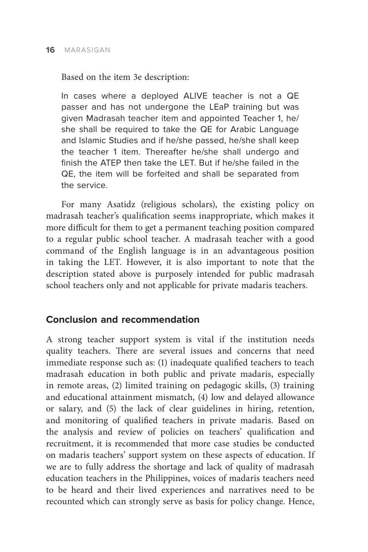Based on the item 3e description:

In cases where a deployed ALIVE teacher is not a QE passer and has not undergone the LEaP training but was given Madrasah teacher item and appointed Teacher 1, he/ she shall be required to take the QE for Arabic Language and Islamic Studies and if he/she passed, he/she shall keep the teacher 1 item. Thereafter he/she shall undergo and finish the ATEP then take the LET. But if he/she failed in the QE, the item will be forfeited and shall be separated from the service.

For many Asatidz (religious scholars), the existing policy on madrasah teacher's qualification seems inappropriate, which makes it more difficult for them to get a permanent teaching position compared to a regular public school teacher. A madrasah teacher with a good command of the English language is in an advantageous position in taking the LET. However, it is also important to note that the description stated above is purposely intended for public madrasah school teachers only and not applicable for private madaris teachers.

## **Conclusion and recommendation**

A strong teacher support system is vital if the institution needs quality teachers. There are several issues and concerns that need immediate response such as: (1) inadequate qualified teachers to teach madrasah education in both public and private madaris, especially in remote areas, (2) limited training on pedagogic skills, (3) training and educational attainment mismatch, (4) low and delayed allowance or salary, and (5) the lack of clear guidelines in hiring, retention, and monitoring of qualified teachers in private madaris. Based on the analysis and review of policies on teachers' qualification and recruitment, it is recommended that more case studies be conducted on madaris teachers' support system on these aspects of education. If we are to fully address the shortage and lack of quality of madrasah education teachers in the Philippines, voices of madaris teachers need to be heard and their lived experiences and narratives need to be recounted which can strongly serve as basis for policy change. Hence,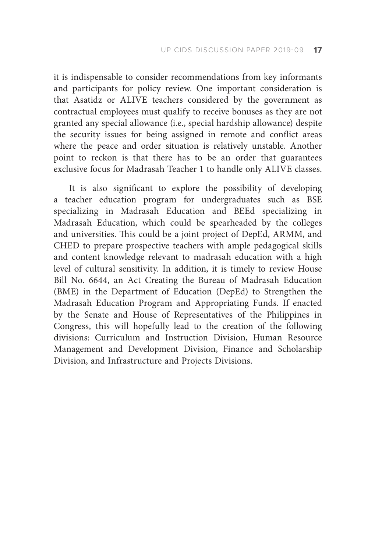it is indispensable to consider recommendations from key informants and participants for policy review. One important consideration is that Asatidz or ALIVE teachers considered by the government as contractual employees must qualify to receive bonuses as they are not granted any special allowance (i.e., special hardship allowance) despite the security issues for being assigned in remote and conflict areas where the peace and order situation is relatively unstable. Another point to reckon is that there has to be an order that guarantees exclusive focus for Madrasah Teacher 1 to handle only ALIVE classes.

It is also significant to explore the possibility of developing a teacher education program for undergraduates such as BSE specializing in Madrasah Education and BEEd specializing in Madrasah Education, which could be spearheaded by the colleges and universities. This could be a joint project of DepEd, ARMM, and CHED to prepare prospective teachers with ample pedagogical skills and content knowledge relevant to madrasah education with a high level of cultural sensitivity. In addition, it is timely to review House Bill No. 6644, an Act Creating the Bureau of Madrasah Education (BME) in the Department of Education (DepEd) to Strengthen the Madrasah Education Program and Appropriating Funds. If enacted by the Senate and House of Representatives of the Philippines in Congress, this will hopefully lead to the creation of the following divisions: Curriculum and Instruction Division, Human Resource Management and Development Division, Finance and Scholarship Division, and Infrastructure and Projects Divisions.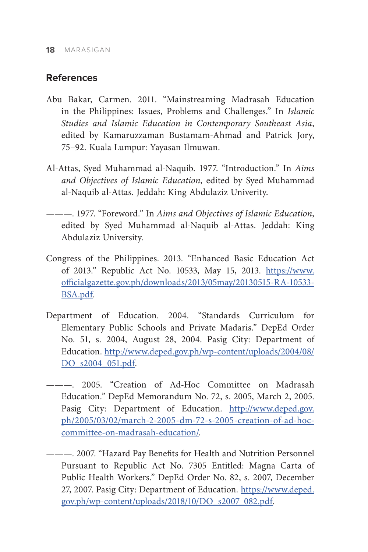#### **References**

- Abu Bakar, Carmen. 2011. "Mainstreaming Madrasah Education in the Philippines: Issues, Problems and Challenges." In *Islamic Studies and Islamic Education in Contemporary Southeast Asia*, edited by Kamaruzzaman Bustamam-Ahmad and Patrick Jory, 75–92. Kuala Lumpur: Yayasan Ilmuwan.
- Al-Attas, Syed Muhammad al-Naquib. 1977. "Introduction." In *Aims and Objectives of Islamic Education*, edited by Syed Muhammad al-Naquib al-Attas. Jeddah: King Abdulaziz Univerity.
- ———. 1977. "Foreword." In *Aims and Objectives of Islamic Education*, edited by Syed Muhammad al-Naquib al-Attas. Jeddah: King Abdulaziz University.
- Congress of the Philippines. 2013. "Enhanced Basic Education Act of 2013." Republic Act No. 10533, May 15, 2013. [https://www.](https://www.officialgazette.gov.ph/downloads/2013/05may/20130515-RA-10533-BSA.pdf) [officialgazette.gov.ph/downloads/2013/05may/20130515-RA-10533-](https://www.officialgazette.gov.ph/downloads/2013/05may/20130515-RA-10533-BSA.pdf) [BSA.pdf.](https://www.officialgazette.gov.ph/downloads/2013/05may/20130515-RA-10533-BSA.pdf)
- Department of Education. 2004. "Standards Curriculum for Elementary Public Schools and Private Madaris." DepEd Order No. 51, s. 2004, August 28, 2004. Pasig City: Department of Education. [http://www.deped.gov.ph/wp-content/uploads/2004/08/](http://www.deped.gov.ph/wp-content/uploads/2004/08/DO_s2004_051.pdf) [DO\\_s2004\\_051.pdf](http://www.deped.gov.ph/wp-content/uploads/2004/08/DO_s2004_051.pdf).
- ———. 2005. "Creation of Ad-Hoc Committee on Madrasah Education." DepEd Memorandum No. 72, s. 2005, March 2, 2005. Pasig City: Department of Education. [http://www.deped.gov.](http://www.deped.gov.ph/2005/03/02/march-2-2005-dm-72-s-2005-creation-of-ad-hoc-committee-on-madrasah-education/) [ph/2005/03/02/march-2-2005-dm-72-s-2005-creation-of-ad-hoc](http://www.deped.gov.ph/2005/03/02/march-2-2005-dm-72-s-2005-creation-of-ad-hoc-committee-on-madrasah-education/)[committee-on-madrasah-education/](http://www.deped.gov.ph/2005/03/02/march-2-2005-dm-72-s-2005-creation-of-ad-hoc-committee-on-madrasah-education/).
- ———. 2007. "Hazard Pay Benefits for Health and Nutrition Personnel Pursuant to Republic Act No. 7305 Entitled: Magna Carta of Public Health Workers." DepEd Order No. 82, s. 2007, December 27, 2007. Pasig City: Department of Education. [https://www.deped.](https://www.deped.gov.ph/wp-content/uploads/2018/10/DO_s2007_082.pdf) [gov.ph/wp-content/uploads/2018/10/DO\\_s2007\\_082.pdf.](https://www.deped.gov.ph/wp-content/uploads/2018/10/DO_s2007_082.pdf)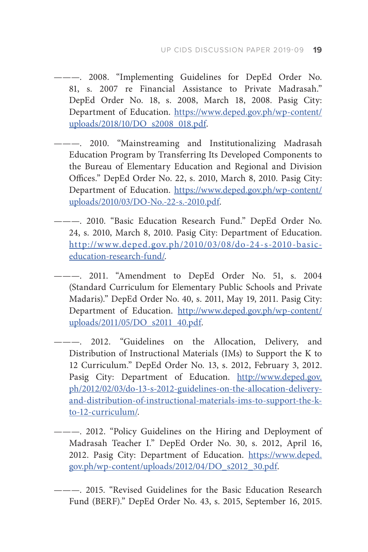- --- 2008. "Implementing Guidelines for DepEd Order No. 81, s. 2007 re Financial Assistance to Private Madrasah." DepEd Order No. 18, s. 2008, March 18, 2008. Pasig City: Department of Education. [https://www.deped.gov.ph/wp-content/](https://www.deped.gov.ph/wp-content/uploads/2018/10/DO_s2008_018.pdf) [uploads/2018/10/DO\\_s2008\\_018.pdf](https://www.deped.gov.ph/wp-content/uploads/2018/10/DO_s2008_018.pdf).
- ———. 2010. "Mainstreaming and Institutionalizing Madrasah Education Program by Transferring Its Developed Components to the Bureau of Elementary Education and Regional and Division Offices." DepEd Order No. 22, s. 2010, March 8, 2010. Pasig City: Department of Education. [https://www.deped.gov.ph/wp-content/](https://www.deped.gov.ph/wp-content/uploads/2010/03/DO-No.-22-s.-2010.pdf) [uploads/2010/03/DO-No.-22-s.-2010.pdf.](https://www.deped.gov.ph/wp-content/uploads/2010/03/DO-No.-22-s.-2010.pdf)
- ———. 2010. "Basic Education Research Fund." DepEd Order No. 24, s. 2010, March 8, 2010. Pasig City: Department of Education. [http://www.deped.gov.ph/2010/03/08/do-24-s-2010-basic](http://www.deped.gov.ph/2010/03/08/do-24-s-2010-basic-education-research-fund/)[education-research-fund/.](http://www.deped.gov.ph/2010/03/08/do-24-s-2010-basic-education-research-fund/)
	- --- 2011. "Amendment to DepEd Order No. 51, s. 2004 (Standard Curriculum for Elementary Public Schools and Private Madaris)." DepEd Order No. 40, s. 2011, May 19, 2011. Pasig City: Department of Education. [http://www.deped.gov.ph/wp-content/](http://www.deped.gov.ph/wp-content/uploads/2011/05/DO_s2011_40.pdf) [uploads/2011/05/DO\\_s2011\\_40.pdf](http://www.deped.gov.ph/wp-content/uploads/2011/05/DO_s2011_40.pdf).
- 2012. "Guidelines on the Allocation, Delivery, and Distribution of Instructional Materials (IMs) to Support the K to 12 Curriculum." DepEd Order No. 13, s. 2012, February 3, 2012. Pasig City: Department of Education. [http://www.deped.gov.](http://www.deped.gov.ph/2012/02/03/do-13-s-2012-guidelines-on-the-allocation-delivery-and-distribution-of-instructional-materials-ims-to-support-the-k-to-12-curriculum/) [ph/2012/02/03/do-13-s-2012-guidelines-on-the-allocation-delivery](http://www.deped.gov.ph/2012/02/03/do-13-s-2012-guidelines-on-the-allocation-delivery-and-distribution-of-instructional-materials-ims-to-support-the-k-to-12-curriculum/)[and-distribution-of-instructional-materials-ims-to-support-the-k](http://www.deped.gov.ph/2012/02/03/do-13-s-2012-guidelines-on-the-allocation-delivery-and-distribution-of-instructional-materials-ims-to-support-the-k-to-12-curriculum/)[to-12-curriculum/](http://www.deped.gov.ph/2012/02/03/do-13-s-2012-guidelines-on-the-allocation-delivery-and-distribution-of-instructional-materials-ims-to-support-the-k-to-12-curriculum/).
- ———. 2012. "Policy Guidelines on the Hiring and Deployment of Madrasah Teacher I." DepEd Order No. 30, s. 2012, April 16, 2012. Pasig City: Department of Education. [https://www.deped.](https://www.deped.gov.ph/wp-content/uploads/2012/04/DO_s2012_30.pdf) [gov.ph/wp-content/uploads/2012/04/DO\\_s2012\\_30.pdf](https://www.deped.gov.ph/wp-content/uploads/2012/04/DO_s2012_30.pdf).
- ———. 2015. "Revised Guidelines for the Basic Education Research Fund (BERF)." DepEd Order No. 43, s. 2015, September 16, 2015.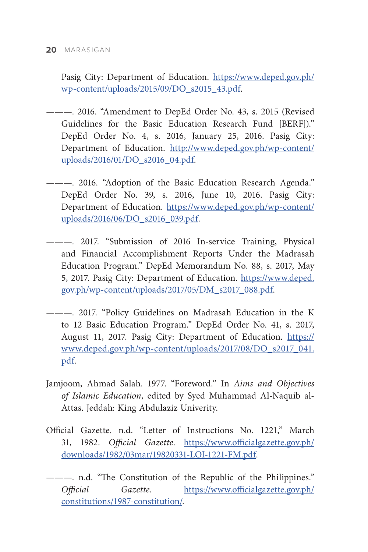Pasig City: Department of Education. [https://www.deped.gov.ph/](https://www.deped.gov.ph/wp-content/uploads/2015/09/DO_s2015_43.pdf) [wp-content/uploads/2015/09/DO\\_s2015\\_43.pdf](https://www.deped.gov.ph/wp-content/uploads/2015/09/DO_s2015_43.pdf).

- ———. 2016. "Amendment to DepEd Order No. 43, s. 2015 (Revised Guidelines for the Basic Education Research Fund [BERF])." DepEd Order No. 4, s. 2016, January 25, 2016. Pasig City: Department of Education. [http://www.deped.gov.ph/wp-content/](http://www.deped.gov.ph/wp-content/uploads/2016/01/DO_s2016_04.pdf) [uploads/2016/01/DO\\_s2016\\_04.pdf.](http://www.deped.gov.ph/wp-content/uploads/2016/01/DO_s2016_04.pdf)
- --- 2016. "Adoption of the Basic Education Research Agenda." DepEd Order No. 39, s. 2016, June 10, 2016. Pasig City: Department of Education. [https://www.deped.gov.ph/wp-content/](https://www.deped.gov.ph/wp-content/uploads/2016/06/DO_s2016_039.pdf) [uploads/2016/06/DO\\_s2016\\_039.pdf.](https://www.deped.gov.ph/wp-content/uploads/2016/06/DO_s2016_039.pdf)
- ———. 2017. "Submission of 2016 In-service Training, Physical and Financial Accomplishment Reports Under the Madrasah Education Program." DepEd Memorandum No. 88, s. 2017, May 5, 2017. Pasig City: Department of Education. [https://www.deped.](https://www.deped.gov.ph/wp-content/uploads/2017/05/DM_s2017_088.pdf) [gov.ph/wp-content/uploads/2017/05/DM\\_s2017\\_088.pdf](https://www.deped.gov.ph/wp-content/uploads/2017/05/DM_s2017_088.pdf).
- ———. 2017. "Policy Guidelines on Madrasah Education in the K to 12 Basic Education Program." DepEd Order No. 41, s. 2017, August 11, 2017. Pasig City: Department of Education. [https://](https://www.deped.gov.ph/wp-content/uploads/2017/08/DO_s2017_041.pdf) [www.deped.gov.ph/wp-content/uploads/2017/08/DO\\_s2017\\_041.](https://www.deped.gov.ph/wp-content/uploads/2017/08/DO_s2017_041.pdf) [pdf](https://www.deped.gov.ph/wp-content/uploads/2017/08/DO_s2017_041.pdf).
- Jamjoom, Ahmad Salah. 1977. "Foreword." In *Aims and Objectives of Islamic Education*, edited by Syed Muhammad Al-Naquib al-Attas. Jeddah: King Abdulaziz Univerity.
- Official Gazette. n.d. "Letter of Instructions No. 1221," March 31, 1982. *Official Gazette*. [https://www.officialgazette.gov.ph/](https://www.officialgazette.gov.ph/downloads/1982/03mar/19820331-LOI-1221-FM.pdf) [downloads/1982/03mar/19820331-LOI-1221-FM.pdf](https://www.officialgazette.gov.ph/downloads/1982/03mar/19820331-LOI-1221-FM.pdf).
- ———. n.d. "The Constitution of the Republic of the Philippines." *Official Gazette*. [https://www.officialgazette.gov.ph/](https://www.officialgazette.gov.ph/constitutions/1987-constitution/) [constitutions/1987-constitution/.](https://www.officialgazette.gov.ph/constitutions/1987-constitution/)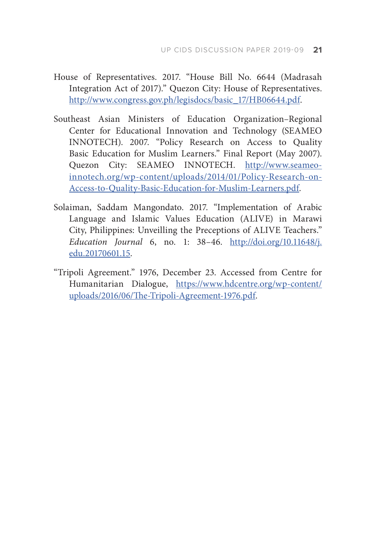- House of Representatives. 2017. "House Bill No. 6644 (Madrasah Integration Act of 2017)." Quezon City: House of Representatives. [http://www.congress.gov.ph/legisdocs/basic\\_17/HB06644.pdf](http://www.congress.gov.ph/legisdocs/basic_17/HB06644.pdf).
- Southeast Asian Ministers of Education Organization–Regional Center for Educational Innovation and Technology (SEAMEO INNOTECH). 2007. "Policy Research on Access to Quality Basic Education for Muslim Learners." Final Report (May 2007). Quezon City: SEAMEO INNOTECH. [http://www.seameo](http://www.seameo-innotech.org/wp-content/uploads/2014/01/Policy-Research-on-Access-to-Quality-Basic-Education-for-Muslim-Learners.pdf)[innotech.org/wp-content/uploads/2014/01/Policy-Research-on-](http://www.seameo-innotech.org/wp-content/uploads/2014/01/Policy-Research-on-Access-to-Quality-Basic-Education-for-Muslim-Learners.pdf)[Access-to-Quality-Basic-Education-for-Muslim-Learners.pdf](http://www.seameo-innotech.org/wp-content/uploads/2014/01/Policy-Research-on-Access-to-Quality-Basic-Education-for-Muslim-Learners.pdf).
- Solaiman, Saddam Mangondato. 2017. "Implementation of Arabic Language and Islamic Values Education (ALIVE) in Marawi City, Philippines: Unveilling the Preceptions of ALIVE Teachers." *Education Journal* 6, no. 1: 38–46. [http://doi.org/10.11648/j.](http://doi.org/10.11648/j.edu.20170601.15) [edu.20170601.15.](http://doi.org/10.11648/j.edu.20170601.15)
- "Tripoli Agreement." 1976, December 23. Accessed from Centre for Humanitarian Dialogue, [https://www.hdcentre.org/wp-content/](https://www.hdcentre.org/wp-content/uploads/2016/06/The-Tripoli-Agreement-1976.pdf) [uploads/2016/06/The-Tripoli-Agreement-1976.pdf.](https://www.hdcentre.org/wp-content/uploads/2016/06/The-Tripoli-Agreement-1976.pdf)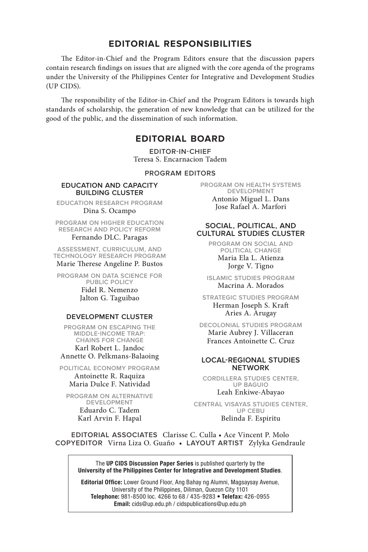#### **EDITORIAL RESPONSIBILITIES**

The Editor-in-Chief and the Program Editors ensure that the discussion papers contain research findings on issues that are aligned with the core agenda of the programs under the University of the Philippines Center for Integrative and Development Studies (UP CIDS).

The responsibility of the Editor-in-Chief and the Program Editors is towards high standards of scholarship, the generation of new knowledge that can be utilized for the good of the public, and the dissemination of such information.

#### **EDITORIAL BOARD**

**EDITOR-IN-CHIEF** Teresa S. Encarnacion Tadem

**PROGRAM EDITORS**

#### **EDUCATION AND CAPACITY BUILDING CLUSTER**

**EDUCATION RESEARCH PROGRAM** Dina S. Ocampo

**PROGRAM ON HIGHER EDUCATION RESEARCH AND POLICY REFORM** Fernando DLC. Paragas

**ASSESSMENT, CURRICULUM, AND TECHNOLOGY RESEARCH PROGRAM** Marie Therese Angeline P. Bustos

**PROGRAM ON DATA SCIENCE FOR PUBLIC POLICY** Fidel R. Nemenzo Jalton G. Taguibao

#### **DEVELOPMENT CLUSTER**

**PROGRAM ON ESCAPING THE MIDDLE-INCOME TRAP: CHAINS FOR CHANGE** Karl Robert L. Jandoc Annette O. Pelkmans-Balaoing

**POLITICAL ECONOMY PROGRAM** Antoinette R. Raquiza Maria Dulce F. Natividad

**PROGRAM ON ALTERNATIVE DEVELOPMENT** Eduardo C. Tadem Karl Arvin F. Hapal

**PROGRAM ON HEALTH SYSTEMS DEVELOPMENT** Antonio Miguel L. Dans Jose Rafael A. Marfori

#### **SOCIAL, POLITICAL, AND CULTURAL STUDIES CLUSTER**

**PROGRAM ON SOCIAL AND POLITICAL CHANGE** Maria Ela L. Atienza Jorge V. Tigno

**ISLAMIC STUDIES PROGRAM** Macrina A. Morados

**STRATEGIC STUDIES PROGRAM** Herman Joseph S. Kraft Aries A. Arugay

**DECOLONIAL STUDIES PROGRAM** Marie Aubrey J. Villaceran Frances Antoinette C. Cruz

#### **LOCAL-REGIONAL STUDIES NETWORK**

**CORDILLERA STUDIES CENTER, UP BAGUIO** Leah Enkiwe-Abayao

**CENTRAL VISAYAS STUDIES CENTER, UP CEBU** Belinda F. Espiritu

**EDITORIAL ASSOCIATES** Clarisse C. Culla • Ace Vincent P. Molo **COPYEDITOR** Virna Liza O. Guaño • **LAYOUT ARTIST** Zylyka Gendraule

The UP CIDS Discussion Paper Series is published quarterly by the University of the Philippines Center for Integrative and Development Studies.

Editorial Office: Lower Ground Floor, Ang Bahay ng Alumni, Magsaysay Avenue, University of the Philippines, Diliman, Quezon City 1101 Telephone: 981-8500 loc. 4266 to 68 / 435-9283 • Telefax: 426-0955 Email: cids@up.edu.ph / cidspublications@up.edu.ph